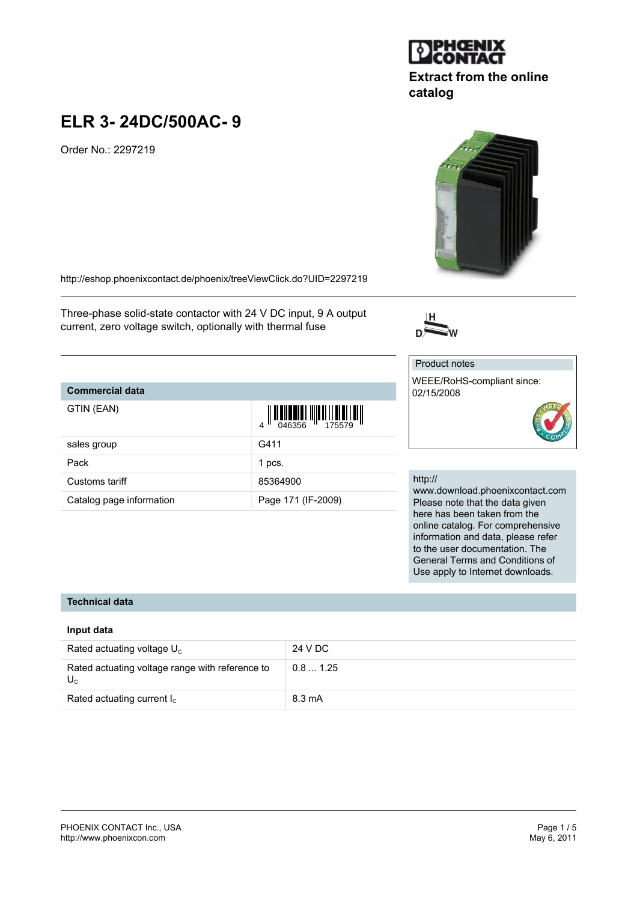#### PHOENIX CONTACT Inc., USA Page 1 / 5 <http://www.phoenixcon.com>

## **ELR 3- 24DC/500AC- 9**

Order No.: 2297219

<http://eshop.phoenixcontact.de/phoenix/treeViewClick.do?UID=2297219>

Three-phase solid-state contactor with 24 V DC input, 9 A output current, zero voltage switch, optionally with thermal fuse

## **Commercial data**

| GTIN (EAN)               |                    |
|--------------------------|--------------------|
| sales group              | G411               |
| Pack                     | 1 pcs.             |
| Customs tariff           | 85364900           |
| Catalog page information | Page 171 (IF-2009) |

## http://

Product notes

02/15/2008

WEEE/RoHS-compliant since:

www.download.phoenixcontact.com Please note that the data given here has been taken from the online catalog. For comprehensive information and data, please refer to the user documentation. The General Terms and Conditions of Use apply to Internet downloads.

## **Technical data**

## **Input data**

| Rated actuating voltage $U_c$                              | 24 V DC |
|------------------------------------------------------------|---------|
| Rated actuating voltage range with reference to<br>$U_{c}$ | 0.81.25 |
| Rated actuating current $I_c$                              | 8.3 mA  |





# **Extract from the online catalog**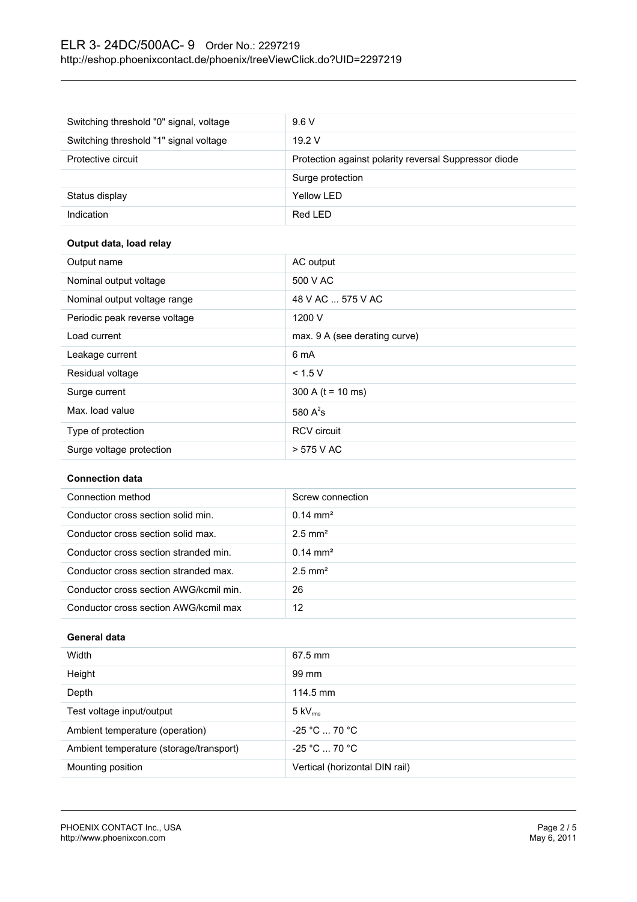## ELR 3- 24DC/500AC- 9 Order No.: 2297219 <http://eshop.phoenixcontact.de/phoenix/treeViewClick.do?UID=2297219>

| Switching threshold "0" signal, voltage | 9.6V                                                  |
|-----------------------------------------|-------------------------------------------------------|
| Switching threshold "1" signal voltage  | 19.2V                                                 |
| Protective circuit                      | Protection against polarity reversal Suppressor diode |
|                                         | Surge protection                                      |
| Status display                          | Yellow LED                                            |
| Indication                              | Red LED                                               |

## **Output data, load relay**

| Output name                   | AC output                     |
|-------------------------------|-------------------------------|
| Nominal output voltage        | 500 V AC                      |
| Nominal output voltage range  | 48 V AC  575 V AC             |
| Periodic peak reverse voltage | 1200 V                        |
| Load current                  | max. 9 A (see derating curve) |
| Leakage current               | 6 mA                          |
| Residual voltage              | < 1.5 V                       |
| Surge current                 | 300 A ( $t = 10$ ms)          |
| Max. load value               | 580 $A^2$ s                   |
| Type of protection            | <b>RCV</b> circuit            |
| Surge voltage protection      | > 575 V AC                    |

## **Connection data**

| Connection method                      | Screw connection      |
|----------------------------------------|-----------------------|
| Conductor cross section solid min.     | $0.14 \text{ mm}^2$   |
| Conductor cross section solid max.     | $2.5$ mm <sup>2</sup> |
| Conductor cross section stranded min.  | $0.14 \text{ mm}^2$   |
| Conductor cross section stranded max.  | $2.5$ mm <sup>2</sup> |
| Conductor cross section AWG/kcmil min. | 26                    |
| Conductor cross section AWG/kcmil max  | 12                    |

## **General data**

| Width                                   | $67.5$ mm                      |
|-----------------------------------------|--------------------------------|
| Height                                  | 99 mm                          |
| Depth                                   | 114.5 mm                       |
| Test voltage input/output               | $5 \text{ kV}_{\text{rms}}$    |
| Ambient temperature (operation)         | $-25 °C  70 °C$                |
| Ambient temperature (storage/transport) | $-25 °C  70 °C$                |
| Mounting position                       | Vertical (horizontal DIN rail) |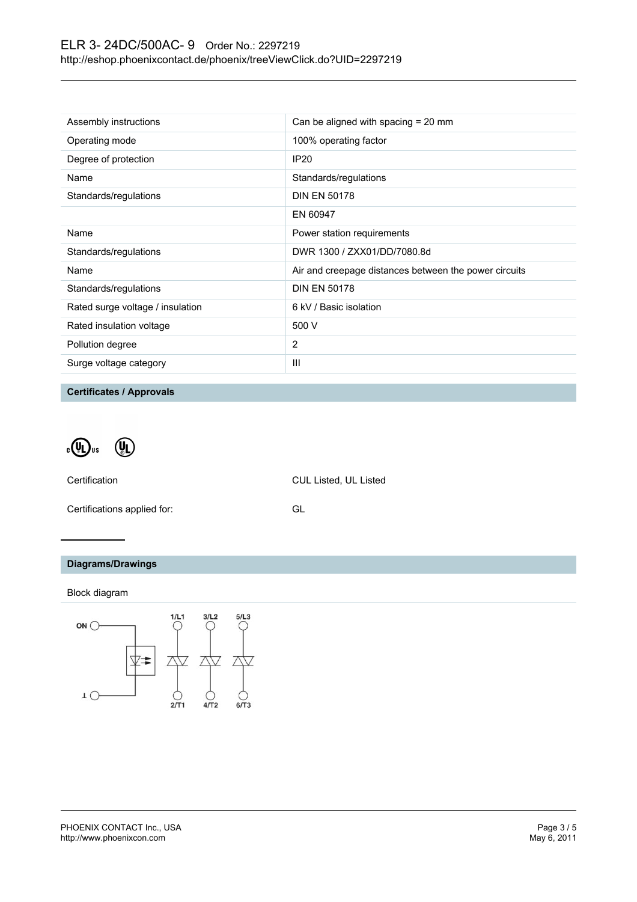| Assembly instructions            | Can be aligned with spacing $= 20$ mm                 |
|----------------------------------|-------------------------------------------------------|
| Operating mode                   | 100% operating factor                                 |
| Degree of protection             | <b>IP20</b>                                           |
| Name                             | Standards/regulations                                 |
| Standards/regulations            | <b>DIN EN 50178</b>                                   |
|                                  | EN 60947                                              |
| Name                             | Power station requirements                            |
| Standards/regulations            | DWR 1300 / ZXX01/DD/7080.8d                           |
| Name                             | Air and creepage distances between the power circuits |
| Standards/regulations            | <b>DIN EN 50178</b>                                   |
| Rated surge voltage / insulation | 6 kV / Basic isolation                                |
| Rated insulation voltage         | 500 V                                                 |
| Pollution degree                 | 2                                                     |
| Surge voltage category           | Ш                                                     |

**Certificates / Approvals**

 $\cdot \mathbb{Q}$ <sub>us</sub>  $\left(\begin{matrix} 0 \\ 0 \end{matrix}\right)$ 

Certification CUL Listed, UL Listed

Certifications applied for: GL

## **Diagrams/Drawings**

Block diagram

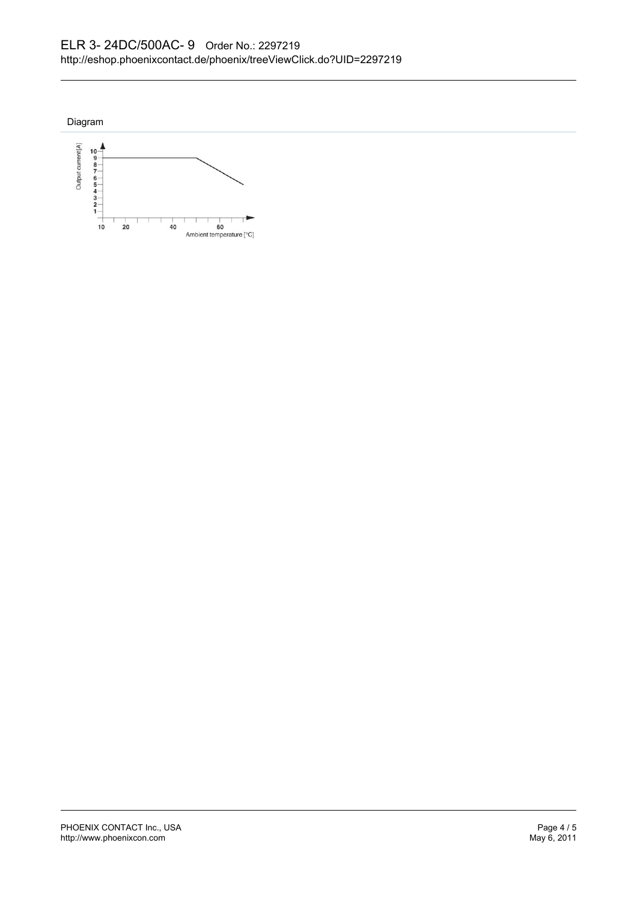